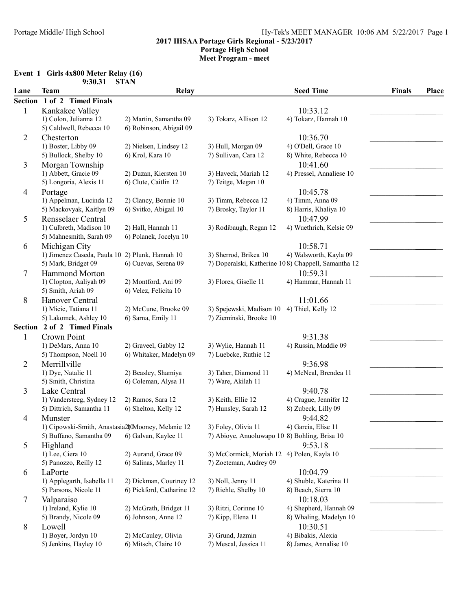## Portage Middle/ High School **Hy-Tek's MEET MANAGER** 10:06 AM 5/22/2017 Page 1

#### 2017 IHSAA Portage Girls Regional - 5/23/2017 Portage High School

Meet Program - meet

#### Event 1 Girls 4x800 Meter Relay (16) 9:30.31 STAN

| Lane           | <b>Team</b>                                       | Relay                     |                                                     | <b>Seed Time</b>         | <b>Finals</b> | Place |
|----------------|---------------------------------------------------|---------------------------|-----------------------------------------------------|--------------------------|---------------|-------|
| <b>Section</b> | 1 of 2 Timed Finals                               |                           |                                                     |                          |               |       |
| $\mathbf{1}$   | Kankakee Valley                                   |                           |                                                     | 10:33.12                 |               |       |
|                | 1) Colon, Julianna 12                             | 2) Martin, Samantha 09    | 3) Tokarz, Allison 12                               | 4) Tokarz, Hannah 10     |               |       |
|                | 5) Caldwell, Rebecca 10                           | 6) Robinson, Abigail 09   |                                                     |                          |               |       |
| $\overline{2}$ | Chesterton                                        |                           |                                                     | 10:36.70                 |               |       |
|                | 1) Boster, Libby 09                               | 2) Nielsen, Lindsey 12    | 3) Hull, Morgan 09                                  | 4) O'Dell, Grace 10      |               |       |
|                | 5) Bullock, Shelby 10                             | 6) Krol, Kara 10          | 7) Sullivan, Cara 12                                | 8) White, Rebecca 10     |               |       |
| $\overline{3}$ | Morgan Township                                   |                           |                                                     | 10:41.60                 |               |       |
|                | 1) Abbett, Gracie 09                              | 2) Duzan, Kiersten 10     | 3) Haveck, Mariah 12                                | 4) Pressel, Annaliese 10 |               |       |
|                | 5) Longoria, Alexis 11                            | 6) Clute, Caitlin 12      | 7) Teitge, Megan 10                                 |                          |               |       |
| $\overline{4}$ | Portage                                           |                           |                                                     | 10:45.78                 |               |       |
|                | 1) Appelman, Lucinda 12                           | 2) Clancy, Bonnie 10      | 3) Timm, Rebecca 12                                 | 4) Timm, Anna 09         |               |       |
|                | 5) Mackovyak, Kaitlyn 09                          | 6) Svitko, Abigail 10     | 7) Brosky, Taylor 11                                | 8) Harris, Khaliya 10    |               |       |
| 5              | Rensselaer Central                                |                           |                                                     | 10:47.99                 |               |       |
|                | 1) Culbreth, Madison 10                           | 2) Hall, Hannah 11        | 3) Rodibaugh, Regan 12                              | 4) Wuethrich, Kelsie 09  |               |       |
|                | 5) Mahnesmith, Sarah 09                           | 6) Polanek, Jocelyn 10    |                                                     |                          |               |       |
| 6              | Michigan City                                     |                           |                                                     | 10:58.71                 |               |       |
|                | 1) Jimenez Caseda, Paula 10 2) Plunk, Hannah 10   |                           | 3) Sherrod, Brikea 10                               | 4) Walsworth, Kayla 09   |               |       |
|                | 5) Mark, Bridget 09                               | 6) Cuevas, Serena 09      | 7) Doperalski, Katherine 108) Chappell, Samantha 12 |                          |               |       |
| 7              | <b>Hammond Morton</b>                             |                           |                                                     | 10:59.31                 |               |       |
|                | 1) Clopton, Aaliyah 09                            | 2) Montford, Ani 09       | 3) Flores, Giselle 11                               | 4) Hammar, Hannah 11     |               |       |
|                | 5) Smith, Ariah 09                                | 6) Velez, Felicita 10     |                                                     |                          |               |       |
| $\,8\,$        | Hanover Central                                   |                           |                                                     | 11:01.66                 |               |       |
|                | 1) Micic, Tatiana 11                              | 2) McCune, Brooke 09      | 3) Spejewski, Madison 10                            | 4) Thiel, Kelly 12       |               |       |
|                | 5) Lakomek, Ashley 10                             | 6) Sarna, Emily 11        | 7) Zieminski, Brooke 10                             |                          |               |       |
| Section        | 2 of 2 Timed Finals                               |                           |                                                     |                          |               |       |
| $\mathbf{1}$   | Crown Point                                       |                           |                                                     | 9:31.38                  |               |       |
|                | 1) DeMars, Anna 10                                | 2) Graveel, Gabby 12      | 3) Wylie, Hannah 11                                 | 4) Russin, Maddie 09     |               |       |
|                | 5) Thompson, Noell 10                             | 6) Whitaker, Madelyn 09   | 7) Luebcke, Ruthie 12                               |                          |               |       |
| $\overline{2}$ | Merrillville                                      |                           |                                                     | 9:36.98                  |               |       |
|                | 1) Dye, Natalie 11                                | 2) Beasley, Shamiya       | 3) Taher, Diamond 11                                | 4) McNeal, Brendea 11    |               |       |
|                | 5) Smith, Christina                               | 6) Coleman, Alysa 11      | 7) Ware, Akilah 11                                  |                          |               |       |
| 3              | Lake Central                                      |                           |                                                     | 9:40.78                  |               |       |
|                | 1) Vandersteeg, Sydney 12                         | 2) Ramos, Sara 12         | 3) Keith, Ellie 12                                  | 4) Crague, Jennifer 12   |               |       |
|                | 5) Dittrich, Samantha 11                          | 6) Shelton, Kelly 12      | 7) Hunsley, Sarah 12                                | 8) Zubeck, Lilly 09      |               |       |
| $\overline{4}$ | Munster                                           |                           |                                                     | 9:44.82                  |               |       |
|                | 1) Cipowski-Smith, Anastasia20(Mooney, Melanie 12 |                           | 3) Foley, Olivia 11                                 | 4) Garcia, Elise 11      |               |       |
|                | 5) Buffano, Samantha 09                           | 6) Galvan, Kaylee 11      | 7) Abioye, Anuoluwapo 10 8) Bohling, Brisa 10       |                          |               |       |
| 5              | Highland                                          |                           |                                                     | 9:53.18                  |               |       |
|                | 1) Lee, Ciera $10$                                | 2) Aurand, Grace 09       | 3) McCormick, Moriah 12 4) Polen, Kayla 10          |                          |               |       |
|                | 5) Panozzo, Reilly 12                             | 6) Salinas, Marley 11     | 7) Zoeteman, Audrey 09                              |                          |               |       |
| 6              | LaPorte                                           |                           |                                                     | 10:04.79                 |               |       |
|                | 1) Applegarth, Isabella 11                        | 2) Dickman, Courtney 12   | 3) Noll, Jenny 11                                   | 4) Shuble, Katerina 11   |               |       |
|                | 5) Parsons, Nicole 11                             | 6) Pickford, Catharine 12 | 7) Riehle, Shelby 10                                | 8) Beach, Sierra 10      |               |       |
| 7              | Valparaiso                                        |                           |                                                     | 10:18.03                 |               |       |
|                | 1) Ireland, Kylie 10                              | 2) McGrath, Bridget 11    | 3) Ritzi, Corinne 10                                | 4) Shepherd, Hannah 09   |               |       |
|                | 5) Brandy, Nicole 09                              | 6) Johnson, Anne 12       | 7) Kipp, Elena 11                                   | 8) Whaling, Madelyn 10   |               |       |
| $\,8\,$        | Lowell                                            |                           |                                                     | 10:30.51                 |               |       |
|                | 1) Boyer, Jordyn 10                               | 2) McCauley, Olivia       | 3) Grund, Jazmin                                    | 4) Bibakis, Alexia       |               |       |
|                | 5) Jenkins, Hayley 10                             | 6) Mitsch, Claire 10      | 7) Mescal, Jessica 11                               | 8) James, Annalise 10    |               |       |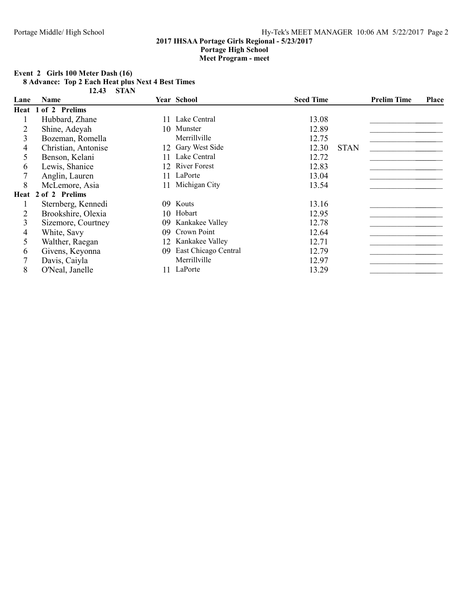Meet Program - meet

# Event 2 Girls 100 Meter Dash (16)<br>8 Advance: Top 2 Each Heat plus

| 8 Advance: Top 2 Each Heat plus Next 4 Best Times |  |            |  |  |
|---------------------------------------------------|--|------------|--|--|
|                                                   |  | 12.43 STAN |  |  |

| Lane | Name                |    | Year School          | <b>Seed Time</b> |             | <b>Prelim Time</b> | Place |
|------|---------------------|----|----------------------|------------------|-------------|--------------------|-------|
|      | Heat 1 of 2 Prelims |    |                      |                  |             |                    |       |
|      | Hubbard, Zhane      | 11 | Lake Central         | 13.08            |             |                    |       |
| 2    | Shine, Adeyah       | 10 | Munster              | 12.89            |             |                    |       |
| 3    | Bozeman, Romella    |    | Merrillville         | 12.75            |             |                    |       |
| 4    | Christian, Antonise | 12 | Gary West Side       | 12.30            | <b>STAN</b> |                    |       |
| 5.   | Benson, Kelani      | 11 | Lake Central         | 12.72            |             |                    |       |
| 6    | Lewis, Shanice      | 12 | <b>River Forest</b>  | 12.83            |             |                    |       |
|      | Anglin, Lauren      | 11 | LaPorte              | 13.04            |             |                    |       |
| 8    | McLemore, Asia      | 11 | Michigan City        | 13.54            |             |                    |       |
|      | Heat 2 of 2 Prelims |    |                      |                  |             |                    |       |
|      | Sternberg, Kennedi  | 09 | Kouts                | 13.16            |             |                    |       |
|      | Brookshire, Olexia  |    | 10 Hobart            | 12.95            |             |                    |       |
| 3    | Sizemore, Courtney  | 09 | Kankakee Valley      | 12.78            |             |                    |       |
| 4    | White, Savy         | 09 | Crown Point          | 12.64            |             |                    |       |
|      | Walther, Raegan     |    | 12 Kankakee Valley   | 12.71            |             |                    |       |
| 6    | Givens, Keyonna     | 09 | East Chicago Central | 12.79            |             |                    |       |
|      | Davis, Caiyla       |    | Merrillville         | 12.97            |             |                    |       |
| 8    | O'Neal, Janelle     | 11 | LaPorte              | 13.29            |             |                    |       |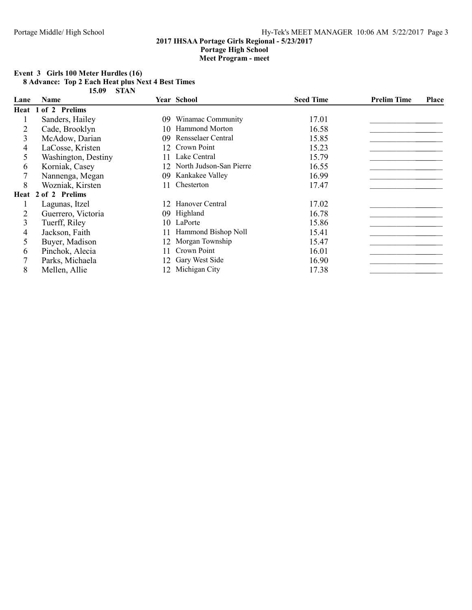Meet Program - meet

#### Event 3 Girls 100 Meter Hurdles (16) 8 Advance: Top 2 Each Heat plus Next 4 Best Times

15.09 STAN

| Lane | <b>Name</b>         |     | <b>Year School</b>      | <b>Seed Time</b> | <b>Prelim Time</b> | Place |
|------|---------------------|-----|-------------------------|------------------|--------------------|-------|
|      | Heat 1 of 2 Prelims |     |                         |                  |                    |       |
|      | Sanders, Hailey     | 09  | Winamac Community       | 17.01            |                    |       |
| 2    | Cade, Brooklyn      | 10  | <b>Hammond Morton</b>   | 16.58            |                    |       |
| 3    | McAdow, Darian      | 09  | Rensselaer Central      | 15.85            |                    |       |
| 4    | LaCosse, Kristen    | 12  | Crown Point             | 15.23            |                    |       |
|      | Washington, Destiny |     | Lake Central            | 15.79            |                    |       |
| 6    | Korniak, Casey      |     | North Judson-San Pierre | 16.55            |                    |       |
|      | Nannenga, Megan     | 09  | Kankakee Valley         | 16.99            |                    |       |
| 8    | Wozniak, Kirsten    | 11  | Chesterton              | 17.47            |                    |       |
|      | Heat 2 of 2 Prelims |     |                         |                  |                    |       |
|      | Lagunas, Itzel      | 12. | Hanover Central         | 17.02            |                    |       |
|      | Guerrero, Victoria  |     | 09 Highland             | 16.78            |                    |       |
| 3    | Tuerff, Riley       |     | 10 LaPorte              | 15.86            |                    |       |
| 4    | Jackson, Faith      |     | Hammond Bishop Noll     | 15.41            |                    |       |
|      | Buyer, Madison      | 12  | Morgan Township         | 15.47            |                    |       |
| 6    | Pinchok, Alecia     |     | Crown Point             | 16.01            |                    |       |
|      | Parks, Michaela     | 12  | Gary West Side          | 16.90            |                    |       |
| 8    | Mellen, Allie       |     | 12 Michigan City        | 17.38            |                    |       |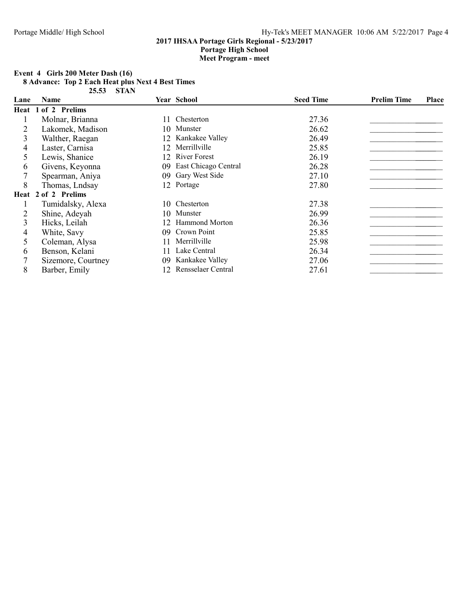Meet Program - meet

# Event 4 Girls 200 Meter Dash (16)<br>8 Advance: Top 2 Each Heat plus

| 8 Advance: Top 2 Each Heat plus Next 4 Best Times |  |            |  |  |
|---------------------------------------------------|--|------------|--|--|
|                                                   |  | 25.53 STAN |  |  |

| Lane | <b>Name</b>         |     | Year School          | <b>Seed Time</b> | <b>Prelim Time</b> | Place |
|------|---------------------|-----|----------------------|------------------|--------------------|-------|
|      | Heat 1 of 2 Prelims |     |                      |                  |                    |       |
|      | Molnar, Brianna     | 11. | Chesterton           | 27.36            |                    |       |
|      | Lakomek, Madison    | 10. | Munster              | 26.62            |                    |       |
| 3    | Walther, Raegan     |     | 12 Kankakee Valley   | 26.49            |                    |       |
| 4    | Laster, Carnisa     | 12  | Merrillville         | 25.85            |                    |       |
|      | Lewis, Shanice      | 12  | <b>River Forest</b>  | 26.19            |                    |       |
| 6    | Givens, Keyonna     | 09  | East Chicago Central | 26.28            |                    |       |
|      | Spearman, Aniya     | 09  | Gary West Side       | 27.10            |                    |       |
| 8    | Thomas, Lndsay      |     | 12 Portage           | 27.80            |                    |       |
|      | Heat 2 of 2 Prelims |     |                      |                  |                    |       |
|      | Tumidalsky, Alexa   |     | 10 Chesterton        | 27.38            |                    |       |
|      | Shine, Adeyah       |     | 10 Munster           | 26.99            |                    |       |
| 3    | Hicks, Leilah       | 12  | Hammond Morton       | 26.36            |                    |       |
| 4    | White, Savy         | 09  | Crown Point          | 25.85            |                    |       |
|      | Coleman, Alysa      |     | Merrillville         | 25.98            |                    |       |
| 6    | Benson, Kelani      |     | Lake Central         | 26.34            |                    |       |
|      | Sizemore, Courtney  | 09  | Kankakee Valley      | 27.06            |                    |       |
| 8    | Barber, Emily       | 12  | Rensselaer Central   | 27.61            |                    |       |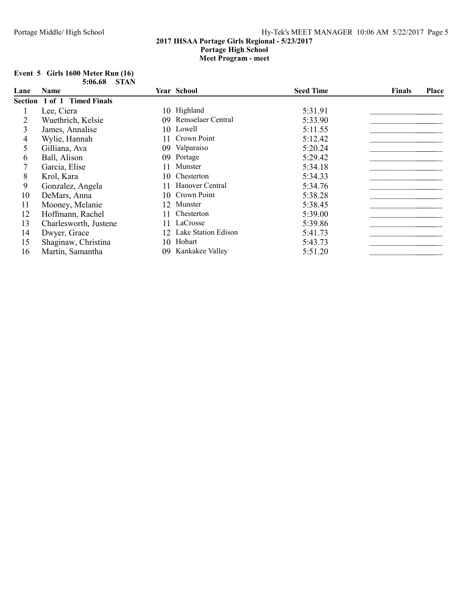| Event $5$ Girls 1600 Meter Run $(16)$ |              |  |
|---------------------------------------|--------------|--|
|                                       | 5:06.68 STAN |  |

| Lane | <b>Name</b>                           |     | Year School            | <b>Seed Time</b> | <b>Finals</b> | <b>Place</b> |
|------|---------------------------------------|-----|------------------------|------------------|---------------|--------------|
|      | <b>Timed Finals</b><br>Section 1 of 1 |     |                        |                  |               |              |
|      | Lee, Ciera                            |     | 10 Highland            | 5:31.91          |               |              |
|      | Wuethrich, Kelsie                     | 09. | Rensselaer Central     | 5:33.90          |               |              |
| 3    | James, Annalise                       |     | 10 Lowell              | 5:11.55          |               |              |
| 4    | Wylie, Hannah                         | 11  | Crown Point            | 5:12.42          |               |              |
| 5.   | Gilliana, Ava                         | 09  | Valparaiso             | 5:20.24          |               |              |
| 6    | Ball, Alison                          | 09. | Portage                | 5:29.42          |               |              |
|      | Garcia, Elise                         |     | Munster                | 5:34.18          |               |              |
| 8    | Krol, Kara                            | 10. | Chesterton             | 5:34.33          |               |              |
| 9    | Gonzalez, Angela                      | 11  | Hanover Central        | 5:34.76          |               |              |
| 10   | DeMars, Anna                          |     | 10 Crown Point         | 5:38.28          |               |              |
| 11   | Mooney, Melanie                       |     | 12 Munster             | 5:38.45          |               |              |
| 12   | Hoffmann, Rachel                      | 11  | Chesterton             | 5:39.00          |               |              |
| 13   | Charlesworth, Justene                 | 11  | LaCrosse               | 5:39.86          |               |              |
| 14   | Dwyer, Grace                          |     | 12 Lake Station Edison | 5:41.73          |               |              |
| 15   | Shaginaw, Christina                   | 10  | Hobart                 | 5:43.73          |               |              |
| 16   | Martin, Samantha                      | 09. | Kankakee Valley        | 5:51.20          |               |              |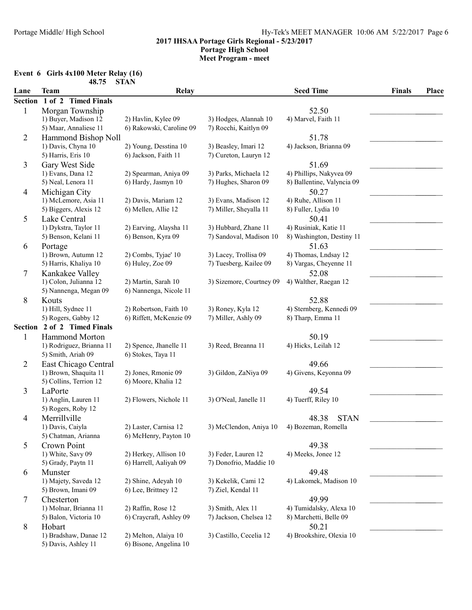## Portage Middle/ High School Hy-Tek's MEET MANAGER 10:06 AM 5/22/2017 Page 6

## 2017 IHSAA Portage Girls Regional - 5/23/2017 Portage High School

Meet Program - meet

## Event 6 Girls 4x100 Meter Relay (16)

|                | 48.75                                          | <b>STAN</b>                                   |                                                |                                                   |               |       |
|----------------|------------------------------------------------|-----------------------------------------------|------------------------------------------------|---------------------------------------------------|---------------|-------|
| Lane           | <b>Team</b>                                    | <b>Relay</b>                                  |                                                | <b>Seed Time</b>                                  | <b>Finals</b> | Place |
| <b>Section</b> | 1 of 2 Timed Finals                            |                                               |                                                |                                                   |               |       |
| $\mathbf{1}$   | Morgan Township                                |                                               |                                                | 52.50                                             |               |       |
|                | 1) Buyer, Madison 12                           | 2) Havlin, Kylee 09                           | 3) Hodges, Alannah 10<br>7) Rocchi, Kaitlyn 09 | 4) Marvel, Faith 11                               |               |       |
|                | 5) Maar, Annaliese 11                          | 6) Rakowski, Caroline 09                      |                                                |                                                   |               |       |
| $\overline{2}$ | Hammond Bishop Noll<br>1) Davis, Chyna 10      | 2) Young, Desstina 10                         | 3) Beasley, Imari 12                           | 51.78<br>4) Jackson, Brianna 09                   |               |       |
|                | 5) Harris, Eris 10                             | 6) Jackson, Faith 11                          | 7) Cureton, Lauryn 12                          |                                                   |               |       |
| 3              | Gary West Side                                 |                                               |                                                | 51.69                                             |               |       |
|                | 1) Evans, Dana 12                              | 2) Spearman, Aniya 09                         | 3) Parks, Michaela 12                          | 4) Phillips, Nakyvea 09                           |               |       |
|                | 5) Neal, Lenora 11                             | 6) Hardy, Jasmyn 10                           | 7) Hughes, Sharon 09                           | 8) Ballentine, Valyncia 09                        |               |       |
| $\overline{4}$ | Michigan City                                  |                                               |                                                | 50.27                                             |               |       |
|                | 1) McLemore, Asia 11                           | 2) Davis, Mariam 12                           | 3) Evans, Madison 12                           | 4) Ruhe, Allison 11                               |               |       |
|                | 5) Biggers, Alexis 12                          | 6) Mellen, Allie 12                           | 7) Miller, Sheyalla 11                         | 8) Fuller, Lydia 10                               |               |       |
| 5              | Lake Central                                   |                                               |                                                | 50.41                                             |               |       |
|                | 1) Dykstra, Taylor 11                          | 2) Earving, Alaysha 11                        | 3) Hubbard, Zhane 11                           | 4) Rusiniak, Katie 11                             |               |       |
|                | 5) Benson, Kelani 11                           | 6) Benson, Kyra 09                            | 7) Sandoval, Madison 10                        | 8) Washington, Destiny 11                         |               |       |
| 6              | Portage                                        |                                               |                                                | 51.63                                             |               |       |
|                | 1) Brown, Autumn 12                            | 2) Combs, Tyjae' 10                           | 3) Lacey, Trollisa 09                          | 4) Thomas, Lndsay 12                              |               |       |
|                | 5) Harris, Khaliya 10                          | 6) Huley, Zoe 09                              | 7) Tuesberg, Kailee 09                         | 8) Vargas, Cheyenne 11                            |               |       |
| 7              | Kankakee Valley                                |                                               |                                                | 52.08                                             |               |       |
|                | 1) Colon, Julianna 12                          | 2) Martin, Sarah 10                           | 3) Sizemore, Courtney 09                       | 4) Walther, Raegan 12                             |               |       |
|                | 5) Nannenga, Megan 09                          | 6) Nannenga, Nicole 11                        |                                                |                                                   |               |       |
| 8              | Kouts                                          |                                               |                                                | 52.88                                             |               |       |
|                | 1) Hill, Sydnee 11                             | 2) Robertson, Faith 10                        | 3) Roney, Kyla 12                              | 4) Sternberg, Kennedi 09                          |               |       |
|                | 5) Rogers, Gabby 12<br>2 of 2 Timed Finals     | 6) Riffett, McKenzie 09                       | 7) Miller, Ashly 09                            | 8) Tharp, Emma 11                                 |               |       |
| Section        |                                                |                                               |                                                |                                                   |               |       |
| 1              | Hammond Morton<br>1) Rodriguez, Brianna 11     | 2) Spence, Jhanelle 11                        | 3) Reed, Breanna 11                            | 50.19<br>4) Hicks, Leilah 12                      |               |       |
|                | 5) Smith, Ariah 09                             | 6) Stokes, Taya 11                            |                                                |                                                   |               |       |
| $\overline{2}$ | East Chicago Central                           |                                               |                                                | 49.66                                             |               |       |
|                | 1) Brown, Shaquita 11                          | 2) Jones, Rmonie 09                           | 3) Gildon, ZaNiya 09                           | 4) Givens, Keyonna 09                             |               |       |
|                | 5) Collins, Terrion 12                         | 6) Moore, Khalia 12                           |                                                |                                                   |               |       |
| 3              | LaPorte                                        |                                               |                                                | 49.54                                             |               |       |
|                | 1) Anglin, Lauren 11                           | 2) Flowers, Nichole 11                        | 3) O'Neal, Janelle 11                          | 4) Tuerff, Riley 10                               |               |       |
|                | 5) Rogers, Roby 12                             |                                               |                                                |                                                   |               |       |
| $\overline{4}$ | Merrillville                                   |                                               |                                                | <b>STAN</b><br>48.38                              |               |       |
|                | 1) Davis, Caiyla                               | 2) Laster, Carnisa 12                         | 3) McClendon, Aniya 10                         | 4) Bozeman, Romella                               |               |       |
|                | 5) Chatman, Arianna                            | 6) McHenry, Payton 10                         |                                                |                                                   |               |       |
| 5              | Crown Point                                    |                                               |                                                | 49.38                                             |               |       |
|                | 1) White, Savy 09                              | 2) Herkey, Allison 10                         | 3) Feder, Lauren 12                            | 4) Meeks, Jonee 12                                |               |       |
|                | 5) Grady, Paytn 11                             | 6) Harrell, Aaliyah 09                        | 7) Donofrio, Maddie 10                         |                                                   |               |       |
| 6              | Munster                                        |                                               |                                                | 49.48                                             |               |       |
|                | 1) Majety, Saveda 12                           | 2) Shine, Adeyah 10                           | 3) Kekelik, Cami 12                            | 4) Lakomek, Madison 10                            |               |       |
|                | 5) Brown, Imani 09                             | 6) Lee, Brittney 12                           | 7) Ziel, Kendal 11                             |                                                   |               |       |
| 7              | Chesterton                                     |                                               |                                                | 49.99                                             |               |       |
|                | 1) Molnar, Brianna 11<br>5) Balon, Victoria 10 | 2) Raffin, Rose 12<br>6) Craycraft, Ashley 09 | 3) Smith, Alex 11<br>7) Jackson, Chelsea 12    | 4) Tumidalsky, Alexa 10<br>8) Marchetti, Belle 09 |               |       |
|                | Hobart                                         |                                               |                                                |                                                   |               |       |
| $8\,$          | 1) Bradshaw, Danae 12                          | 2) Melton, Alaiya 10                          | 3) Castillo, Cecelia 12                        | 50.21<br>4) Brookshire, Olexia 10                 |               |       |
|                | 5) Davis, Ashley 11                            | 6) Bisone, Angelina 10                        |                                                |                                                   |               |       |
|                |                                                |                                               |                                                |                                                   |               |       |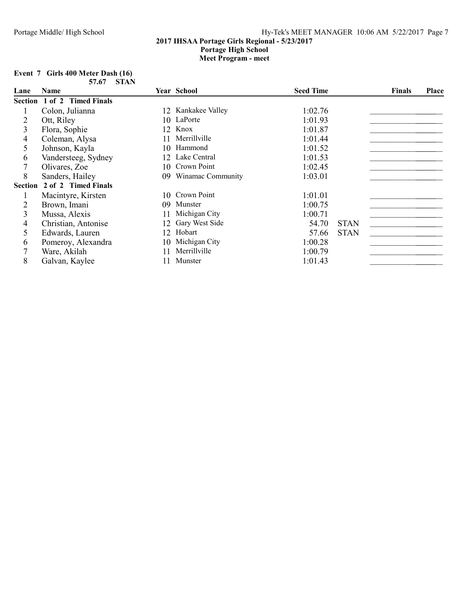#### 2017 IHSAA Portage Girls Regional - 5/23/2017 Portage High School Meet Program - meet

## Event 7 Girls 400 Meter Dash (16)

|                | 57.67                       | <b>STAN</b> |                   |                  |             |               |              |
|----------------|-----------------------------|-------------|-------------------|------------------|-------------|---------------|--------------|
| Lane           | <b>Name</b>                 |             | Year School       | <b>Seed Time</b> |             | <b>Finals</b> | <b>Place</b> |
|                | Section 1 of 2 Timed Finals |             |                   |                  |             |               |              |
|                | Colon, Julianna             | 12.         | Kankakee Valley   | 1:02.76          |             |               |              |
|                | Ott, Riley                  | 10          | LaPorte           | 1:01.93          |             |               |              |
| 3              | Flora, Sophie               | 12.         | Knox              | 1:01.87          |             |               |              |
| 4              | Coleman, Alysa              | 11          | Merrillville      | 1:01.44          |             |               |              |
| 5              | Johnson, Kayla              | 10          | Hammond           | 1:01.52          |             |               |              |
| 6              | Vandersteeg, Sydney         | 12          | Lake Central      | 1:01.53          |             |               |              |
|                | Olivares, Zoe               | 10          | Crown Point       | 1:02.45          |             |               |              |
| 8              | Sanders, Hailey             | 09          | Winamac Community | 1:03.01          |             |               |              |
| <b>Section</b> | 2 of 2 Timed Finals         |             |                   |                  |             |               |              |
|                | Macintyre, Kirsten          | 10          | Crown Point       | 1:01.01          |             |               |              |
|                | Brown, Imani                | 09          | Munster           | 1:00.75          |             |               |              |
| 3              | Mussa, Alexis               | 11          | Michigan City     | 1:00.71          |             |               |              |
| 4              | Christian, Antonise         | 12          | Gary West Side    | 54.70            | <b>STAN</b> |               |              |
| 5              | Edwards, Lauren             | 12          | Hobart            | 57.66            | <b>STAN</b> |               |              |
| 6              | Pomeroy, Alexandra          | 10          | Michigan City     | 1:00.28          |             |               |              |
|                | Ware, Akilah                | 11          | Merrillville      | 1:00.79          |             |               |              |
| 8              | Galvan, Kaylee              | 11          | Munster           | 1:01.43          |             |               |              |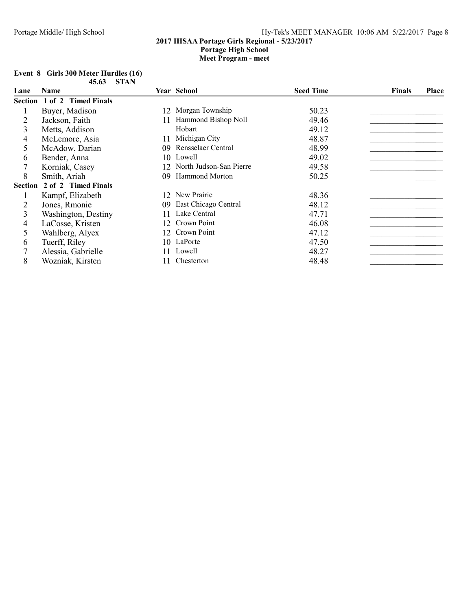| Event 8 Girls 300 Meter Hurdles (16) |            |
|--------------------------------------|------------|
|                                      | 45.63 STAN |

| Lane    | <b>Name</b>                           |    | Year School                | <b>Seed Time</b> | Finals<br>Place |
|---------|---------------------------------------|----|----------------------------|------------------|-----------------|
|         | Section 1 of 2<br><b>Timed Finals</b> |    |                            |                  |                 |
|         | Buyer, Madison                        |    | 12 Morgan Township         | 50.23            |                 |
|         | Jackson, Faith                        | 11 | Hammond Bishop Noll        | 49.46            |                 |
| 3       | Metts, Addison                        |    | Hobart                     | 49.12            |                 |
| 4       | McLemore, Asia                        | 11 | Michigan City              | 48.87            |                 |
|         | McAdow, Darian                        | 09 | Rensselaer Central         | 48.99            |                 |
| 6       | Bender, Anna                          |    | 10 Lowell                  | 49.02            |                 |
|         | Korniak, Casey                        |    | 12 North Judson-San Pierre | 49.58            |                 |
| 8       | Smith, Ariah                          | 09 | Hammond Morton             | 50.25            |                 |
| Section | 2 of 2 Timed Finals                   |    |                            |                  |                 |
|         | Kampf, Elizabeth                      |    | 12 New Prairie             | 48.36            |                 |
| 2       | Jones, Rmonie                         | 09 | East Chicago Central       | 48.12            |                 |
| 3       | Washington, Destiny                   | 11 | Lake Central               | 47.71            |                 |
| 4       | LaCosse, Kristen                      | 12 | Crown Point                | 46.08            |                 |
| 5       | Wahlberg, Alyex                       | 12 | Crown Point                | 47.12            |                 |
| 6       | Tuerff, Riley                         | 10 | LaPorte                    | 47.50            |                 |
|         | Alessia, Gabrielle                    | 11 | Lowell                     | 48.27            |                 |
| 8       | Wozniak, Kirsten                      |    | Chesterton                 | 48.48            |                 |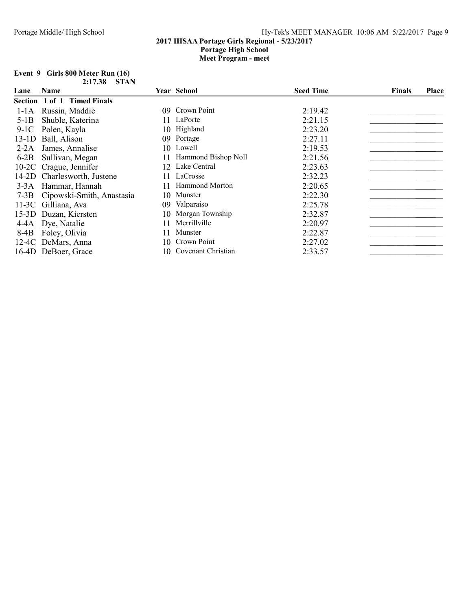Meet Program - meet

#### Event 9 Girls 800 Meter Run (16) 2:17.38 STAN

| Lane   | <b>Name</b>                    |     | Year School           | <b>Seed Time</b> | <b>Finals</b> | Place |
|--------|--------------------------------|-----|-----------------------|------------------|---------------|-------|
|        | Section 1 of 1 Timed Finals    |     |                       |                  |               |       |
|        | 1-1A Russin, Maddie            | 09  | Crown Point           | 2:19.42          |               |       |
| $5-1B$ | Shuble, Katerina               | 11. | LaPorte               | 2:21.15          |               |       |
|        | 9-1C Polen, Kayla              |     | 10 Highland           | 2:23.20          |               |       |
|        | 13-1D Ball, Alison             |     | 09 Portage            | 2:27.11          |               |       |
| $2-2A$ | James, Annalise                |     | 10 Lowell             | 2:19.53          |               |       |
| $6-2B$ | Sullivan, Megan                | 11  | Hammond Bishop Noll   | 2:21.56          |               |       |
|        | 10-2C Crague, Jennifer         |     | 12 Lake Central       | 2:23.63          |               |       |
|        | 14-2D Charlesworth, Justene    | 11. | LaCrosse              | 2:32.23          |               |       |
|        | 3-3A Hammar, Hannah            | 11  | <b>Hammond Morton</b> | 2:20.65          |               |       |
|        | 7-3B Cipowski-Smith, Anastasia |     | 10 Munster            | 2:22.30          |               |       |
|        | 11-3C Gilliana, Ava            | 09. | Valparaiso            | 2:25.78          |               |       |
|        | 15-3D Duzan, Kiersten          | 10- | Morgan Township       | 2:32.87          |               |       |
|        | 4-4A Dye, Natalie              |     | Merrillville          | 2:20.97          |               |       |
|        | 8-4B Foley, Olivia             |     | Munster               | 2:22.87          |               |       |
|        | 12-4C DeMars, Anna             | 10. | Crown Point           | 2:27.02          |               |       |
|        | 16-4D DeBoer, Grace            |     | 10 Covenant Christian | 2:33.57          |               |       |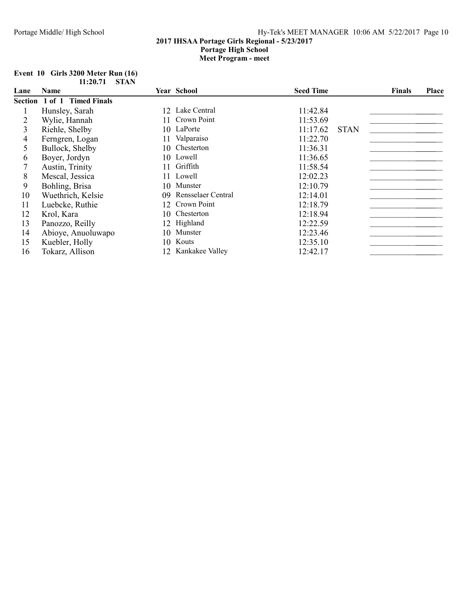|  |  | Event $10$ Girls 3200 Meter Run $(16)$ |
|--|--|----------------------------------------|
|  |  | 11:20.71 STAN                          |

| Lane | <b>Name</b>                           |     | Year School        | <b>Seed Time</b> |             | <b>Finals</b> | <b>Place</b> |
|------|---------------------------------------|-----|--------------------|------------------|-------------|---------------|--------------|
|      | Section 1 of 1<br><b>Timed Finals</b> |     |                    |                  |             |               |              |
|      | Hunsley, Sarah                        | 12  | Lake Central       | 11:42.84         |             |               |              |
|      | Wylie, Hannah                         | 11  | Crown Point        | 11:53.69         |             |               |              |
| 3    | Riehle, Shelby                        | 10- | LaPorte            | 11:17.62         | <b>STAN</b> |               |              |
| 4    | Ferngren, Logan                       | 11  | Valparaiso         | 11:22.70         |             |               |              |
| 5.   | Bullock, Shelby                       | 10- | Chesterton         | 11:36.31         |             |               |              |
| 6    | Boyer, Jordyn                         |     | 10 Lowell          | 11:36.65         |             |               |              |
|      | Austin, Trinity                       | 11  | Griffith           | 11:58.54         |             |               |              |
| 8    | Mescal, Jessica                       | 11  | Lowell             | 12:02.23         |             |               |              |
| 9    | Bohling, Brisa                        | 10- | Munster            | 12:10.79         |             |               |              |
| 10   | Wuethrich, Kelsie                     | 09. | Rensselaer Central | 12:14.01         |             |               |              |
| 11   | Luebcke, Ruthie                       | 12. | Crown Point        | 12:18.79         |             |               |              |
| 12   | Krol, Kara                            | 10- | Chesterton         | 12:18.94         |             |               |              |
| 13   | Panozzo, Reilly                       |     | 12 Highland        | 12:22.59         |             |               |              |
| 14   | Abioye, Anuoluwapo                    | 10- | Munster            | 12:23.46         |             |               |              |
| 15   | Kuebler, Holly                        | 10  | Kouts              | 12:35.10         |             |               |              |
| 16   | Tokarz, Allison                       | 12  | Kankakee Valley    | 12:42.17         |             |               |              |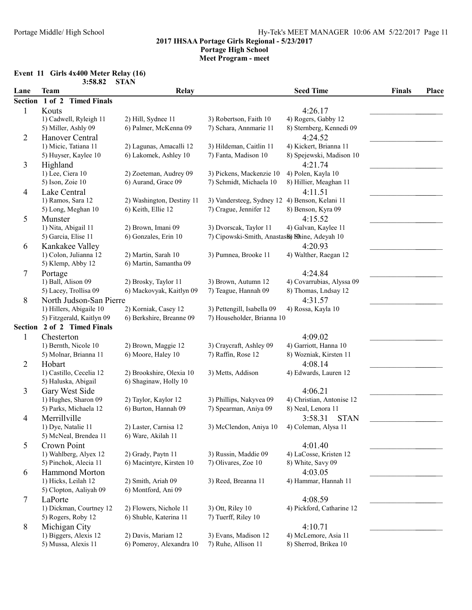## Portage Middle/ High School Hy-Tek's MEET MANAGER 10:06 AM 5/22/2017 Page 11

#### 2017 IHSAA Portage Girls Regional - 5/23/2017 Portage High School

Meet Program - meet

#### Event 11 Girls 4x400 Meter Relay (16) 3:58.82 STAN

| Lane           | <b>Team</b>                 | Relay                     |                                                | <b>Seed Time</b>          | <b>Finals</b> | Place |
|----------------|-----------------------------|---------------------------|------------------------------------------------|---------------------------|---------------|-------|
| Section        | 1 of 2 Timed Finals         |                           |                                                |                           |               |       |
| $\mathbf{1}$   | Kouts                       |                           |                                                | 4:26.17                   |               |       |
|                | 1) Cadwell, Ryleigh 11      | 2) Hill, Sydnee 11        | 3) Robertson, Faith 10                         | 4) Rogers, Gabby 12       |               |       |
|                | 5) Miller, Ashly 09         | 6) Palmer, McKenna 09     | 7) Schara, Annmarie 11                         | 8) Sternberg, Kennedi 09  |               |       |
| $\overline{2}$ | Hanover Central             |                           |                                                | 4:24.52                   |               |       |
|                | 1) Micic, Tatiana 11        | 2) Lagunas, Amacalli 12   | 3) Hildeman, Caitlin 11                        | 4) Kickert, Brianna 11    |               |       |
|                | 5) Huyser, Kaylee 10        | 6) Lakomek, Ashley 10     | 7) Fanta, Madison 10                           | 8) Spejewski, Madison 10  |               |       |
| 3              | Highland                    |                           |                                                | 4:21.74                   |               |       |
|                | 1) Lee, Ciera 10            | 2) Zoeteman, Audrey 09    | 3) Pickens, Mackenzie 10                       | 4) Polen, Kayla 10        |               |       |
|                | 5) Ison, Zoie 10            | 6) Aurand, Grace 09       | 7) Schmidt, Michaela 10                        | 8) Hillier, Meaghan 11    |               |       |
| 4              | Lake Central                |                           |                                                | 4:11.51                   |               |       |
|                | 1) Ramos, Sara 12           | 2) Washington, Destiny 11 | 3) Vandersteeg, Sydney 12 4) Benson, Kelani 11 |                           |               |       |
|                | 5) Long, Meghan 10          | 6) Keith, Ellie 12        | 7) Crague, Jennifer 12                         | 8) Benson, Kyra 09        |               |       |
| 5              | Munster                     |                           |                                                | 4:15.52                   |               |       |
|                | 1) Nita, Abigail 11         | 2) Brown, Imani 09        | 3) Dvorscak, Taylor 11                         | 4) Galvan, Kaylee 11      |               |       |
|                | 5) Garcia, Elise 11         | 6) Gonzales, Erin 10      | 7) Cipowski-Smith, Anastask) Shine, Adeyah 10  |                           |               |       |
| 6              | Kankakee Valley             |                           |                                                | 4:20.93                   |               |       |
|                | 1) Colon, Julianna 12       | 2) Martin, Sarah 10       | 3) Pumnea, Brooke 11                           | 4) Walther, Raegan 12     |               |       |
|                | 5) Klemp, Abby 12           | 6) Martin, Samantha 09    |                                                |                           |               |       |
| 7              | Portage                     |                           |                                                | 4:24.84                   |               |       |
|                | 1) Ball, Alison 09          | 2) Brosky, Taylor 11      | 3) Brown, Autumn 12                            | 4) Covarrubias, Alyssa 09 |               |       |
|                | 5) Lacey, Trollisa 09       | 6) Mackovyak, Kaitlyn 09  | 7) Teague, Hannah 09                           | 8) Thomas, Lndsay 12      |               |       |
| 8              | North Judson-San Pierre     |                           |                                                | 4:31.57                   |               |       |
|                | 1) Hillers, Abigaile 10     | 2) Korniak, Casey 12      | 3) Pettengill, Isabella 09                     | 4) Rossa, Kayla 10        |               |       |
|                | 5) Fitzgerald, Kaitlyn 09   | 6) Berkshire, Breanne 09  | 7) Householder, Brianna 10                     |                           |               |       |
|                | Section 2 of 2 Timed Finals |                           |                                                |                           |               |       |
| 1              | Chesterton                  |                           |                                                | 4:09.02                   |               |       |
|                | 1) Bernth, Nicole 10        | 2) Brown, Maggie 12       | 3) Craycraft, Ashley 09                        | 4) Garriott, Hanna 10     |               |       |
|                | 5) Molnar, Brianna 11       | 6) Moore, Haley 10        | 7) Raffin, Rose 12                             | 8) Wozniak, Kirsten 11    |               |       |
| $\overline{2}$ | Hobart                      |                           |                                                | 4:08.14                   |               |       |
|                | 1) Castillo, Cecelia 12     | 2) Brookshire, Olexia 10  | 3) Metts, Addison                              | 4) Edwards, Lauren 12     |               |       |
|                | 5) Haluska, Abigail         | 6) Shaginaw, Holly 10     |                                                |                           |               |       |
| 3              | Gary West Side              |                           |                                                | 4:06.21                   |               |       |
|                | 1) Hughes, Sharon 09        | 2) Taylor, Kaylor 12      | 3) Phillips, Nakyvea 09                        | 4) Christian, Antonise 12 |               |       |
|                | 5) Parks, Michaela 12       | 6) Burton, Hannah 09      | 7) Spearman, Aniya 09                          | 8) Neal, Lenora 11        |               |       |
| 4              | Merrillville                |                           |                                                | 3:58.31<br><b>STAN</b>    |               |       |
|                | 1) Dye, Natalie 11          | 2) Laster, Carnisa 12     | 3) McClendon, Aniya 10                         | 4) Coleman, Alysa 11      |               |       |
|                | 5) McNeal, Brendea 11       | 6) Ware, Akilah 11        |                                                |                           |               |       |
| 5              | Crown Point                 |                           |                                                | 4:01.40                   |               |       |
|                | 1) Wahlberg, Alyex 12       | 2) Grady, Paytn 11        | 3) Russin, Maddie 09                           | 4) LaCosse, Kristen 12    |               |       |
|                | 5) Pinchok, Alecia 11       | 6) Macintyre, Kirsten 10  | 7) Olivares, Zoe 10                            | 8) White, Savy 09         |               |       |
| 6              | Hammond Morton              |                           |                                                | 4:03.05                   |               |       |
|                | 1) Hicks, Leilah 12         | 2) Smith, Ariah 09        | 3) Reed, Breanna 11                            | 4) Hammar, Hannah 11      |               |       |
|                | 5) Clopton, Aaliyah 09      | 6) Montford, Ani 09       |                                                |                           |               |       |
| 7              | LaPorte                     |                           |                                                | 4:08.59                   |               |       |
|                | 1) Dickman, Courtney 12     | 2) Flowers, Nichole 11    | 3) Ott, Riley 10                               | 4) Pickford, Catharine 12 |               |       |
|                | 5) Rogers, Roby 12          | 6) Shuble, Katerina 11    | 7) Tuerff, Riley 10                            |                           |               |       |
| 8              | Michigan City               |                           |                                                | 4:10.71                   |               |       |
|                | 1) Biggers, Alexis 12       | 2) Davis, Mariam 12       | 3) Evans, Madison 12                           | 4) McLemore, Asia 11      |               |       |
|                | 5) Mussa, Alexis 11         | 6) Pomeroy, Alexandra 10  | 7) Ruhe, Allison 11                            | 8) Sherrod, Brikea 10     |               |       |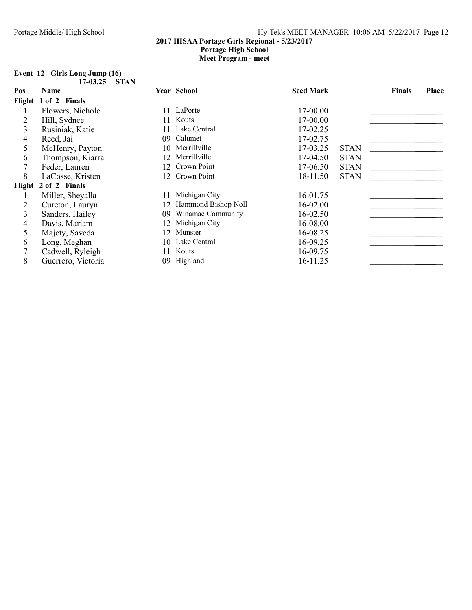Meet Program - meet

#### Event 12 Girls Long Jump (16) 17-03.25 STAN

| Pos    | Name                 |     | Year School         | <b>Seed Mark</b> |             | <b>Finals</b> | <b>Place</b> |
|--------|----------------------|-----|---------------------|------------------|-------------|---------------|--------------|
| Flight | 1 of 2 Finals        |     |                     |                  |             |               |              |
|        | Flowers, Nichole     | 11  | LaPorte             | 17-00.00         |             |               |              |
| 2      | Hill, Sydnee         | 11  | Kouts               | 17-00.00         |             |               |              |
| 3      | Rusiniak, Katie      |     | Lake Central        | 17-02.25         |             |               |              |
| 4      | Reed, Jai            | 09  | Calumet             | 17-02.75         |             |               |              |
| 5.     | McHenry, Payton      | 10  | Merrillville        | 17-03.25         | <b>STAN</b> |               |              |
| 6      | Thompson, Kiarra     | 12. | Merrillville        | 17-04.50         | <b>STAN</b> |               |              |
|        | Feder, Lauren        | 12  | Crown Point         | 17-06.50         | <b>STAN</b> |               |              |
| 8      | LaCosse, Kristen     | 12  | Crown Point         | 18-11.50         | <b>STAN</b> |               |              |
|        | Flight 2 of 2 Finals |     |                     |                  |             |               |              |
|        | Miller, Sheyalla     | 11  | Michigan City       | 16-01.75         |             |               |              |
| 2      | Cureton, Lauryn      | 12  | Hammond Bishop Noll | 16-02.00         |             |               |              |
| 3      | Sanders, Hailey      | 09  | Winamac Community   | 16-02.50         |             |               |              |
| 4      | Davis, Mariam        | 12  | Michigan City       | 16-08.00         |             |               |              |
| 5.     | Majety, Saveda       | 12. | Munster             | 16-08.25         |             |               |              |
| 6      | Long, Meghan         | 10  | Lake Central        | 16-09.25         |             |               |              |
|        | Cadwell, Ryleigh     | 11  | Kouts               | 16-09.75         |             |               |              |
| 8      | Guerrero, Victoria   | 09  | Highland            | 16-11.25         |             |               |              |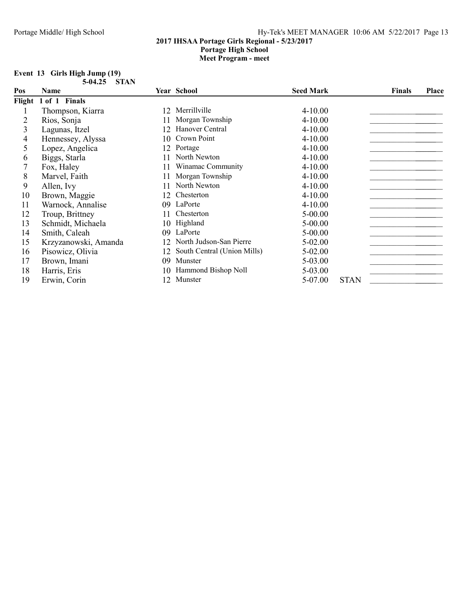## 2017 IHSAA Portage Girls Regional - 5/23/2017

Portage High School Meet Program - meet

#### Event 13 Girls High Jump (19) 5-04.25 STAN

| Pos    | <b>Name</b>          |    | Year School                 | <b>Seed Mark</b> |             | <b>Finals</b> | <b>Place</b> |
|--------|----------------------|----|-----------------------------|------------------|-------------|---------------|--------------|
| Flight | 1 of 1 Finals        |    |                             |                  |             |               |              |
|        | Thompson, Kiarra     | 12 | Merrillville                | $4 - 10.00$      |             |               |              |
| 2      | Rios, Sonja          | 11 | Morgan Township             | $4 - 10.00$      |             |               |              |
| 3      | Lagunas, Itzel       | 12 | Hanover Central             | $4 - 10.00$      |             |               |              |
| 4      | Hennessey, Alyssa    | 10 | Crown Point                 | $4 - 10.00$      |             |               |              |
| 5.     | Lopez, Angelica      | 12 | Portage                     | $4 - 10.00$      |             |               |              |
| 6      | Biggs, Starla        |    | North Newton                | $4 - 10.00$      |             |               |              |
|        | Fox, Haley           |    | Winamac Community           | $4 - 10.00$      |             |               |              |
| 8      | Marvel, Faith        | 11 | Morgan Township             | $4 - 10.00$      |             |               |              |
| 9      | Allen, Ivy           |    | North Newton                | $4 - 10.00$      |             |               |              |
| 10     | Brown, Maggie        | 12 | Chesterton                  | $4 - 10.00$      |             |               |              |
| 11     | Warnock, Annalise    | 09 | LaPorte                     | $4 - 10.00$      |             |               |              |
| 12     | Troup, Brittney      | 11 | Chesterton                  | 5-00.00          |             |               |              |
| 13     | Schmidt, Michaela    |    | 10 Highland                 | $5 - 00.00$      |             |               |              |
| 14     | Smith, Caleah        | 09 | LaPorte                     | 5-00.00          |             |               |              |
| 15     | Krzyzanowski, Amanda | 12 | North Judson-San Pierre     | 5-02.00          |             |               |              |
| 16     | Pisowicz, Olivia     | 12 | South Central (Union Mills) | 5-02.00          |             |               |              |
| 17     | Brown, Imani         | 09 | Munster                     | 5-03.00          |             |               |              |
| 18     | Harris, Eris         | 10 | Hammond Bishop Noll         | 5-03.00          |             |               |              |
| 19     | Erwin, Corin         | 12 | Munster                     | 5-07.00          | <b>STAN</b> |               |              |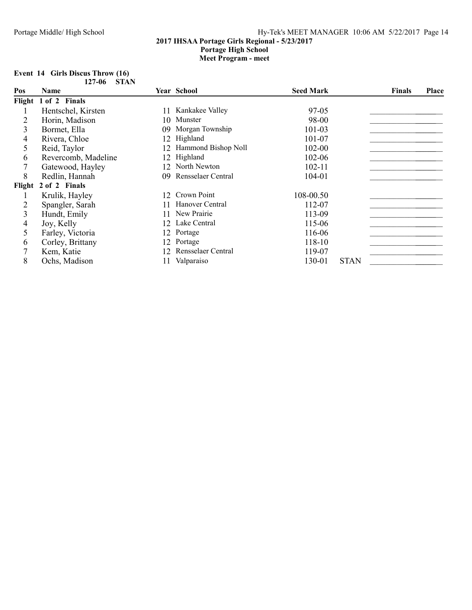|  | Event 14 Girls Discus Throw (16) |             |  |
|--|----------------------------------|-------------|--|
|  |                                  | 127-06 STAN |  |

| Pos    | <b>Name</b>          |     | Year School         | <b>Seed Mark</b> |             | <b>Finals</b> | <b>Place</b> |
|--------|----------------------|-----|---------------------|------------------|-------------|---------------|--------------|
|        | Flight 1 of 2 Finals |     |                     |                  |             |               |              |
|        | Hentschel, Kirsten   | 11  | Kankakee Valley     | 97-05            |             |               |              |
|        | Horin, Madison       | 10- | Munster             | 98-00            |             |               |              |
| 3      | Bormet, Ella         | 09  | Morgan Township     | 101-03           |             |               |              |
| 4      | Rivera, Chloe        | 12  | Highland            | 101-07           |             |               |              |
|        | Reid, Taylor         | 12  | Hammond Bishop Noll | 102-00           |             |               |              |
| 6      | Revercomb, Madeline  |     | 12 Highland         | 102-06           |             |               |              |
|        | Gatewood, Hayley     | 12. | North Newton        | $102 - 11$       |             |               |              |
| 8      | Redlin, Hannah       | 09  | Rensselaer Central  | 104-01           |             |               |              |
| Flight | 2 of 2 Finals        |     |                     |                  |             |               |              |
|        | Krulik, Hayley       | 12  | Crown Point         | 108-00.50        |             |               |              |
|        | Spangler, Sarah      |     | Hanover Central     | 112-07           |             |               |              |
| 3      | Hundt, Emily         | 11  | New Prairie         | 113-09           |             |               |              |
| 4      | Joy, Kelly           | 12. | Lake Central        | 115-06           |             |               |              |
| 5.     | Farley, Victoria     | 12  | Portage             | 116-06           |             |               |              |
| 6      | Corley, Brittany     | 12. | Portage             | 118-10           |             |               |              |
|        | Kem, Katie           | 12. | Rensselaer Central  | 119-07           |             |               |              |
| 8      | Ochs, Madison        |     | Valparaiso          | 130-01           | <b>STAN</b> |               |              |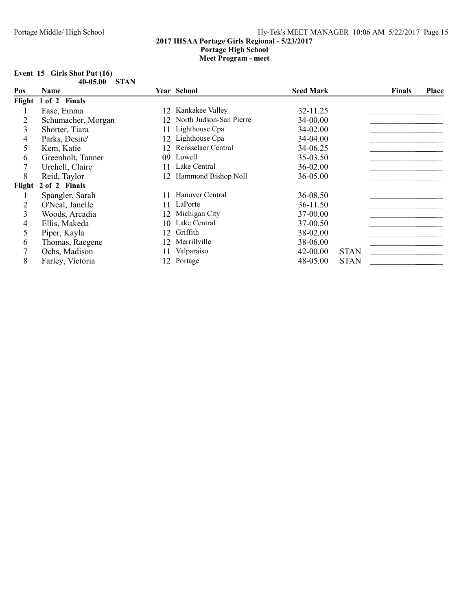Meet Program - meet

#### Event 15 Girls Shot Put (16) 40-05.00 STAN

| Pos    | <b>Name</b>          |    | Year School                | <b>Seed Mark</b> |             | <b>Finals</b> | Place |
|--------|----------------------|----|----------------------------|------------------|-------------|---------------|-------|
|        | Flight 1 of 2 Finals |    |                            |                  |             |               |       |
|        | Fase, Emma           |    | 12 Kankakee Valley         | 32-11.25         |             |               |       |
|        | Schumacher, Morgan   |    | 12 North Judson-San Pierre | 34-00.00         |             |               |       |
| 3      | Shorter, Tiara       | 11 | Lighthouse Cpa             | 34-02.00         |             |               |       |
| 4      | Parks, Desire'       |    | 12 Lighthouse Cpa          | 34-04.00         |             |               |       |
|        | Kem, Katie           |    | 12 Rensselaer Central      | 34-06.25         |             |               |       |
| 6      | Greenholt, Tanner    | 09 | Lowell                     | 35-03.50         |             |               |       |
|        | Urchell, Claire      | 11 | Lake Central               | 36-02.00         |             |               |       |
| 8      | Reid, Taylor         |    | 12 Hammond Bishop Noll     | 36-05.00         |             |               |       |
| Flight | 2 of 2 Finals        |    |                            |                  |             |               |       |
|        | Spangler, Sarah      | 11 | Hanover Central            | 36-08.50         |             |               |       |
|        | O'Neal, Janelle      |    | LaPorte                    | 36-11.50         |             |               |       |
| 3      | Woods, Arcadia       | 12 | Michigan City              | 37-00.00         |             |               |       |
| 4      | Ellis, Makeda        | 10 | Lake Central               | 37-00.50         |             |               |       |
| 5.     | Piper, Kayla         | 12 | Griffith                   | 38-02.00         |             |               |       |
| 6      | Thomas, Raegene      | 12 | Merrillville               | 38-06.00         |             |               |       |
|        | Ochs, Madison        | 11 | Valparaiso                 | 42-00.00         | <b>STAN</b> |               |       |
| 8      | Farley, Victoria     |    | 12 Portage                 | 48-05.00         | <b>STAN</b> |               |       |